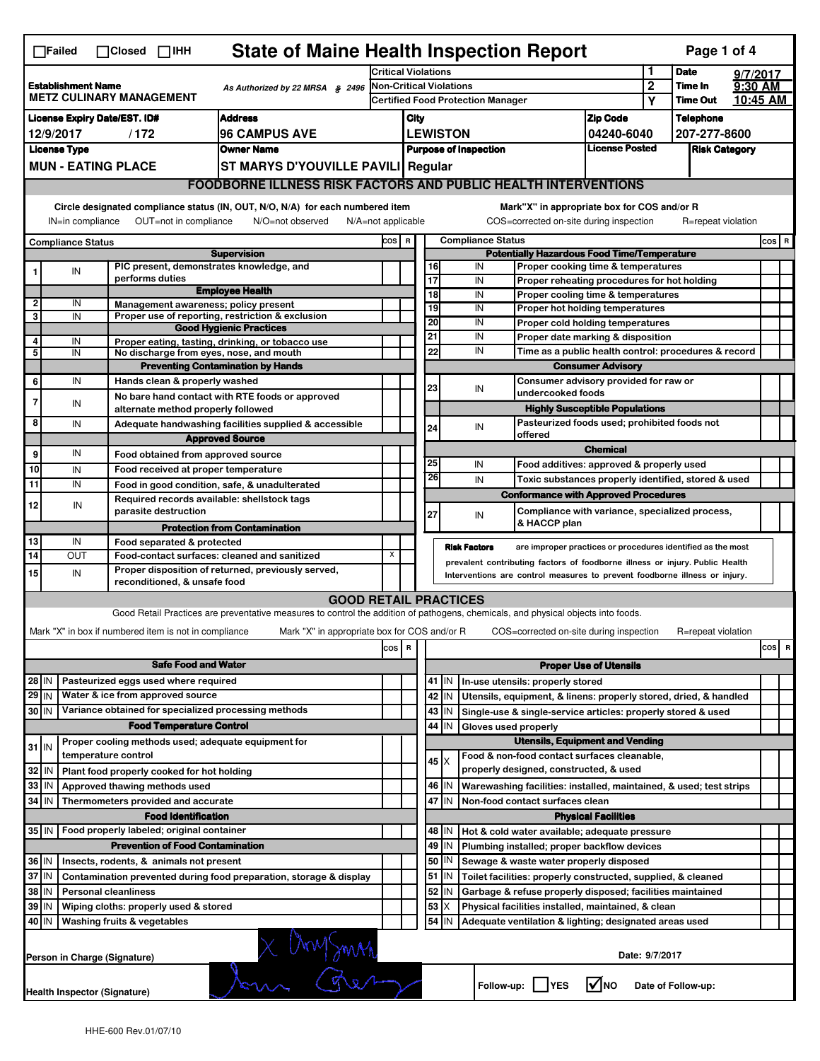|                                                                                                                                                                                                                                                                                       | <b>State of Maine Health Inspection Report</b><br>Page 1 of 4<br>$\Box$ Failed<br>$\Box$ Closed $\Box$ IHH |  |                                                       |                                                                                                                                   |                            |                                                        |                                                    |                                                                               |                                                                              |                                                            |                                              |                         |                                                             |  |      |   |
|---------------------------------------------------------------------------------------------------------------------------------------------------------------------------------------------------------------------------------------------------------------------------------------|------------------------------------------------------------------------------------------------------------|--|-------------------------------------------------------|-----------------------------------------------------------------------------------------------------------------------------------|----------------------------|--------------------------------------------------------|----------------------------------------------------|-------------------------------------------------------------------------------|------------------------------------------------------------------------------|------------------------------------------------------------|----------------------------------------------|-------------------------|-------------------------------------------------------------|--|------|---|
|                                                                                                                                                                                                                                                                                       |                                                                                                            |  |                                                       |                                                                                                                                   | <b>Critical Violations</b> |                                                        |                                                    |                                                                               |                                                                              |                                                            | 1                                            | <b>Date</b><br>9/7/2017 |                                                             |  |      |   |
| <b>Establishment Name</b><br>As Authorized by 22 MRSA § 2496<br><b>METZ CULINARY MANAGEMENT</b>                                                                                                                                                                                       |                                                                                                            |  |                                                       | <b>Non-Critical Violations</b>                                                                                                    |                            |                                                        |                                                    |                                                                               |                                                                              | $\overline{2}$                                             | Time In<br><b>Time Out</b>                   | 9:30 AM                 |                                                             |  |      |   |
|                                                                                                                                                                                                                                                                                       |                                                                                                            |  |                                                       |                                                                                                                                   |                            | <b>Certified Food Protection Manager</b>               |                                                    |                                                                               |                                                                              |                                                            | Y                                            |                         | 10:45 AM                                                    |  |      |   |
| <b>License Expiry Date/EST. ID#</b><br><b>Address</b>                                                                                                                                                                                                                                 |                                                                                                            |  |                                                       |                                                                                                                                   |                            | <b>Zip Code</b><br>City                                |                                                    |                                                                               |                                                                              |                                                            |                                              |                         | <b>Telephone</b>                                            |  |      |   |
| <b>96 CAMPUS AVE</b><br>12/9/2017<br>/ 172                                                                                                                                                                                                                                            |                                                                                                            |  |                                                       |                                                                                                                                   |                            | <b>LEWISTON</b><br>04240-6040<br><b>License Posted</b> |                                                    |                                                                               |                                                                              |                                                            |                                              | 207-277-8600            |                                                             |  |      |   |
|                                                                                                                                                                                                                                                                                       | <b>License Type</b><br><b>Owner Name</b><br><b>MUN - EATING PLACE</b>                                      |  |                                                       |                                                                                                                                   |                            | <b>Purpose of Inspection</b><br><b>Risk Category</b>   |                                                    |                                                                               |                                                                              |                                                            |                                              |                         |                                                             |  |      |   |
|                                                                                                                                                                                                                                                                                       |                                                                                                            |  |                                                       | ST MARYS D'YOUVILLE PAVILI Regular                                                                                                |                            |                                                        |                                                    |                                                                               |                                                                              |                                                            |                                              |                         |                                                             |  |      |   |
|                                                                                                                                                                                                                                                                                       |                                                                                                            |  |                                                       | <b>FOODBORNE ILLNESS RISK FACTORS AND PUBLIC HEALTH INTERVENTIONS</b>                                                             |                            |                                                        |                                                    |                                                                               |                                                                              |                                                            |                                              |                         |                                                             |  |      |   |
| Circle designated compliance status (IN, OUT, N/O, N/A) for each numbered item<br>Mark"X" in appropriate box for COS and/or R<br>OUT=not in compliance<br>COS=corrected on-site during inspection<br>IN=in compliance<br>N/O=not observed<br>N/A=not applicable<br>R=repeat violation |                                                                                                            |  |                                                       |                                                                                                                                   |                            |                                                        |                                                    |                                                                               |                                                                              |                                                            |                                              |                         |                                                             |  |      |   |
| COS R                                                                                                                                                                                                                                                                                 |                                                                                                            |  |                                                       |                                                                                                                                   |                            | <b>Compliance Status</b><br>$cos$ R                    |                                                    |                                                                               |                                                                              |                                                            |                                              |                         |                                                             |  |      |   |
| <b>Compliance Status</b><br><b>Supervision</b>                                                                                                                                                                                                                                        |                                                                                                            |  |                                                       |                                                                                                                                   |                            |                                                        | <b>Potentially Hazardous Food Time/Temperature</b> |                                                                               |                                                                              |                                                            |                                              |                         |                                                             |  |      |   |
|                                                                                                                                                                                                                                                                                       | IN                                                                                                         |  | PIC present, demonstrates knowledge, and              |                                                                                                                                   |                            |                                                        | 16<br>IN<br>Proper cooking time & temperatures     |                                                                               |                                                                              |                                                            |                                              |                         |                                                             |  |      |   |
|                                                                                                                                                                                                                                                                                       |                                                                                                            |  | performs duties                                       |                                                                                                                                   |                            |                                                        | $\overline{17}$                                    |                                                                               | IN                                                                           |                                                            | Proper reheating procedures for hot holding  |                         |                                                             |  |      |   |
| $\overline{2}$                                                                                                                                                                                                                                                                        | IN                                                                                                         |  | Management awareness; policy present                  | <b>Employee Health</b>                                                                                                            |                            |                                                        | $\overline{18}$                                    |                                                                               | IN                                                                           |                                                            | Proper cooling time & temperatures           |                         |                                                             |  |      |   |
| 3                                                                                                                                                                                                                                                                                     | IN                                                                                                         |  |                                                       | Proper use of reporting, restriction & exclusion                                                                                  |                            |                                                        | 19                                                 |                                                                               | IN                                                                           |                                                            | Proper hot holding temperatures              |                         |                                                             |  |      |   |
|                                                                                                                                                                                                                                                                                       |                                                                                                            |  |                                                       | <b>Good Hygienic Practices</b>                                                                                                    |                            |                                                        | 20                                                 |                                                                               | IN                                                                           |                                                            | Proper cold holding temperatures             |                         |                                                             |  |      |   |
| 4                                                                                                                                                                                                                                                                                     | IN                                                                                                         |  |                                                       | Proper eating, tasting, drinking, or tobacco use                                                                                  |                            |                                                        | 21<br>22                                           |                                                                               | IN<br>IN                                                                     |                                                            | Proper date marking & disposition            |                         | Time as a public health control: procedures & record        |  |      |   |
| 5                                                                                                                                                                                                                                                                                     | IN                                                                                                         |  | No discharge from eyes, nose, and mouth               |                                                                                                                                   |                            |                                                        |                                                    |                                                                               |                                                                              |                                                            |                                              |                         |                                                             |  |      |   |
| 6                                                                                                                                                                                                                                                                                     | IN                                                                                                         |  | Hands clean & properly washed                         | <b>Preventing Contamination by Hands</b>                                                                                          |                            |                                                        |                                                    |                                                                               |                                                                              |                                                            | <b>Consumer Advisory</b>                     |                         |                                                             |  |      |   |
|                                                                                                                                                                                                                                                                                       |                                                                                                            |  |                                                       | No bare hand contact with RTE foods or approved                                                                                   |                            |                                                        | 23                                                 |                                                                               | IN                                                                           | Consumer advisory provided for raw or<br>undercooked foods |                                              |                         |                                                             |  |      |   |
| 7                                                                                                                                                                                                                                                                                     | IN                                                                                                         |  | alternate method properly followed                    |                                                                                                                                   |                            |                                                        |                                                    |                                                                               |                                                                              |                                                            | <b>Highly Susceptible Populations</b>        |                         |                                                             |  |      |   |
| 8                                                                                                                                                                                                                                                                                     | IN                                                                                                         |  |                                                       | Adequate handwashing facilities supplied & accessible                                                                             |                            |                                                        |                                                    |                                                                               | IN                                                                           |                                                            | Pasteurized foods used; prohibited foods not |                         |                                                             |  |      |   |
|                                                                                                                                                                                                                                                                                       |                                                                                                            |  |                                                       | <b>Approved Source</b>                                                                                                            |                            |                                                        | 24                                                 |                                                                               |                                                                              | offered                                                    |                                              |                         |                                                             |  |      |   |
| 9                                                                                                                                                                                                                                                                                     | IN                                                                                                         |  | Food obtained from approved source                    |                                                                                                                                   |                            |                                                        |                                                    |                                                                               |                                                                              |                                                            | <b>Chemical</b>                              |                         |                                                             |  |      |   |
| 10                                                                                                                                                                                                                                                                                    | IN                                                                                                         |  | Food received at proper temperature                   |                                                                                                                                   |                            |                                                        | 25                                                 |                                                                               | IN                                                                           |                                                            | Food additives: approved & properly used     |                         |                                                             |  |      |   |
| 11                                                                                                                                                                                                                                                                                    | IN                                                                                                         |  | Food in good condition, safe, & unadulterated         |                                                                                                                                   |                            |                                                        | 26                                                 |                                                                               | IN                                                                           |                                                            |                                              |                         | Toxic substances properly identified, stored & used         |  |      |   |
|                                                                                                                                                                                                                                                                                       |                                                                                                            |  | Required records available: shellstock tags           |                                                                                                                                   |                            |                                                        |                                                    |                                                                               |                                                                              |                                                            | <b>Conformance with Approved Procedures</b>  |                         |                                                             |  |      |   |
| 12                                                                                                                                                                                                                                                                                    | IN                                                                                                         |  | parasite destruction                                  |                                                                                                                                   |                            |                                                        | 27                                                 |                                                                               | IN                                                                           |                                                            |                                              |                         | Compliance with variance, specialized process,              |  |      |   |
|                                                                                                                                                                                                                                                                                       |                                                                                                            |  |                                                       | <b>Protection from Contamination</b>                                                                                              |                            |                                                        |                                                    |                                                                               |                                                                              | & HACCP plan                                               |                                              |                         |                                                             |  |      |   |
| 13                                                                                                                                                                                                                                                                                    | IN                                                                                                         |  | Food separated & protected                            |                                                                                                                                   |                            |                                                        |                                                    |                                                                               | <b>Risk Factors</b>                                                          |                                                            |                                              |                         | are improper practices or procedures identified as the most |  |      |   |
| $\overline{14}$                                                                                                                                                                                                                                                                       | OUT                                                                                                        |  | Food-contact surfaces: cleaned and sanitized          |                                                                                                                                   | X                          |                                                        |                                                    |                                                                               | prevalent contributing factors of foodborne illness or injury. Public Health |                                                            |                                              |                         |                                                             |  |      |   |
| 15                                                                                                                                                                                                                                                                                    | IN                                                                                                         |  |                                                       | Proper disposition of returned, previously served,                                                                                |                            |                                                        |                                                    |                                                                               | Interventions are control measures to prevent foodborne illness or injury.   |                                                            |                                              |                         |                                                             |  |      |   |
|                                                                                                                                                                                                                                                                                       |                                                                                                            |  | reconditioned, & unsafe food                          |                                                                                                                                   |                            |                                                        |                                                    |                                                                               |                                                                              |                                                            |                                              |                         |                                                             |  |      |   |
|                                                                                                                                                                                                                                                                                       |                                                                                                            |  |                                                       | <b>GOOD RETAIL PRACTICES</b>                                                                                                      |                            |                                                        |                                                    |                                                                               |                                                                              |                                                            |                                              |                         |                                                             |  |      |   |
|                                                                                                                                                                                                                                                                                       |                                                                                                            |  |                                                       | Good Retail Practices are preventative measures to control the addition of pathogens, chemicals, and physical objects into foods. |                            |                                                        |                                                    |                                                                               |                                                                              |                                                            |                                              |                         |                                                             |  |      |   |
|                                                                                                                                                                                                                                                                                       |                                                                                                            |  | Mark "X" in box if numbered item is not in compliance | Mark "X" in appropriate box for COS and/or R                                                                                      |                            |                                                        |                                                    |                                                                               |                                                                              |                                                            | COS=corrected on-site during inspection      |                         | R=repeat violation                                          |  |      |   |
|                                                                                                                                                                                                                                                                                       |                                                                                                            |  |                                                       |                                                                                                                                   | cos                        | R                                                      |                                                    |                                                                               |                                                                              |                                                            |                                              |                         |                                                             |  | cosl | R |
| <b>Safe Food and Water</b>                                                                                                                                                                                                                                                            |                                                                                                            |  |                                                       |                                                                                                                                   |                            | <b>Proper Use of Utensils</b>                          |                                                    |                                                                               |                                                                              |                                                            |                                              |                         |                                                             |  |      |   |
| 28 IN                                                                                                                                                                                                                                                                                 |                                                                                                            |  | Pasteurized eggs used where required                  |                                                                                                                                   |                            |                                                        |                                                    | 41   IN                                                                       | In-use utensils: properly stored                                             |                                                            |                                              |                         |                                                             |  |      |   |
| $29$ IN                                                                                                                                                                                                                                                                               |                                                                                                            |  | Water & ice from approved source                      |                                                                                                                                   |                            |                                                        |                                                    | 42 IN                                                                         | Utensils, equipment, & linens: properly stored, dried, & handled             |                                                            |                                              |                         |                                                             |  |      |   |
| 30 IN                                                                                                                                                                                                                                                                                 |                                                                                                            |  | Variance obtained for specialized processing methods  |                                                                                                                                   |                            |                                                        |                                                    | 43   IN                                                                       | Single-use & single-service articles: properly stored & used                 |                                                            |                                              |                         |                                                             |  |      |   |
|                                                                                                                                                                                                                                                                                       |                                                                                                            |  | <b>Food Temperature Control</b>                       |                                                                                                                                   |                            |                                                        | 44                                                 | İIN                                                                           | Gloves used properly                                                         |                                                            |                                              |                         |                                                             |  |      |   |
| $31$ IN                                                                                                                                                                                                                                                                               |                                                                                                            |  | Proper cooling methods used; adequate equipment for   |                                                                                                                                   |                            |                                                        |                                                    |                                                                               |                                                                              |                                                            | <b>Utensils, Equipment and Vending</b>       |                         |                                                             |  |      |   |
|                                                                                                                                                                                                                                                                                       |                                                                                                            |  | temperature control                                   |                                                                                                                                   |                            |                                                        |                                                    | $45 \times$                                                                   | Food & non-food contact surfaces cleanable,                                  |                                                            |                                              |                         |                                                             |  |      |   |
| 32                                                                                                                                                                                                                                                                                    | l IN                                                                                                       |  | Plant food properly cooked for hot holding            |                                                                                                                                   |                            |                                                        |                                                    |                                                                               | properly designed, constructed, & used                                       |                                                            |                                              |                         |                                                             |  |      |   |
| 33                                                                                                                                                                                                                                                                                    | IN                                                                                                         |  | Approved thawing methods used                         |                                                                                                                                   |                            |                                                        |                                                    | 46   IN<br>Warewashing facilities: installed, maintained, & used; test strips |                                                                              |                                                            |                                              |                         |                                                             |  |      |   |
| 34 IN                                                                                                                                                                                                                                                                                 |                                                                                                            |  | Thermometers provided and accurate                    |                                                                                                                                   |                            |                                                        | 47 I IN<br>Non-food contact surfaces clean         |                                                                               |                                                                              |                                                            |                                              |                         |                                                             |  |      |   |
|                                                                                                                                                                                                                                                                                       |                                                                                                            |  | <b>Food Identification</b>                            |                                                                                                                                   |                            |                                                        |                                                    |                                                                               |                                                                              |                                                            | <b>Physical Facilities</b>                   |                         |                                                             |  |      |   |
| 35   IN                                                                                                                                                                                                                                                                               |                                                                                                            |  | Food properly labeled; original container             |                                                                                                                                   |                            |                                                        |                                                    | 48   IN                                                                       | Hot & cold water available; adequate pressure                                |                                                            |                                              |                         |                                                             |  |      |   |
|                                                                                                                                                                                                                                                                                       |                                                                                                            |  | <b>Prevention of Food Contamination</b>               |                                                                                                                                   |                            |                                                        |                                                    | 49 IN                                                                         | Plumbing installed; proper backflow devices                                  |                                                            |                                              |                         |                                                             |  |      |   |
| 36 IN                                                                                                                                                                                                                                                                                 |                                                                                                            |  | Insects, rodents, & animals not present               |                                                                                                                                   |                            |                                                        |                                                    | 50   IN                                                                       | Sewage & waste water properly disposed                                       |                                                            |                                              |                         |                                                             |  |      |   |
| $37$ IN<br>Contamination prevented during food preparation, storage & display                                                                                                                                                                                                         |                                                                                                            |  |                                                       |                                                                                                                                   |                            |                                                        | 51 J IN                                            | Toilet facilities: properly constructed, supplied, & cleaned                  |                                                                              |                                                            |                                              |                         |                                                             |  |      |   |
| 38 IN<br><b>Personal cleanliness</b>                                                                                                                                                                                                                                                  |                                                                                                            |  |                                                       |                                                                                                                                   |                            |                                                        | 52                                                 | ΙM                                                                            | Garbage & refuse properly disposed; facilities maintained                    |                                                            |                                              |                         |                                                             |  |      |   |
| 39 IN<br>Wiping cloths: properly used & stored                                                                                                                                                                                                                                        |                                                                                                            |  |                                                       |                                                                                                                                   |                            |                                                        |                                                    | $53 \times$                                                                   | Physical facilities installed, maintained, & clean                           |                                                            |                                              |                         |                                                             |  |      |   |
| 40 IN                                                                                                                                                                                                                                                                                 |                                                                                                            |  | Washing fruits & vegetables                           |                                                                                                                                   |                            |                                                        | 54                                                 | ΙM                                                                            | Adequate ventilation & lighting; designated areas used                       |                                                            |                                              |                         |                                                             |  |      |   |
|                                                                                                                                                                                                                                                                                       | X May Jonah<br>Date: 9/7/2017<br>Person in Charge (Signature)                                              |  |                                                       |                                                                                                                                   |                            |                                                        |                                                    |                                                                               |                                                                              |                                                            |                                              |                         |                                                             |  |      |   |
|                                                                                                                                                                                                                                                                                       | <b>M</b> NO<br>Follow-up:     YES<br>Date of Follow-up:<br>Health Inspector (Signature)                    |  |                                                       |                                                                                                                                   |                            |                                                        |                                                    |                                                                               |                                                                              |                                                            |                                              |                         |                                                             |  |      |   |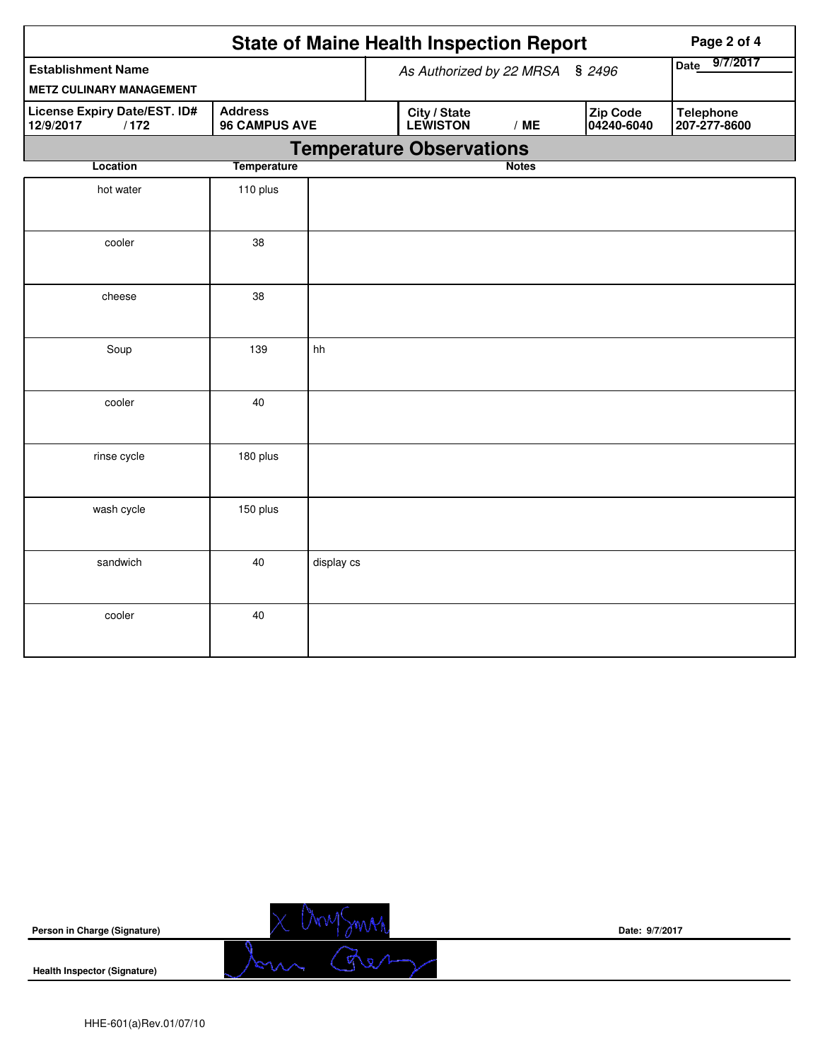|                                                   | <b>State of Maine Health Inspection Report</b> |                                    |                                 | Page 2 of 4                            |              |  |                         |                                  |  |
|---------------------------------------------------|------------------------------------------------|------------------------------------|---------------------------------|----------------------------------------|--------------|--|-------------------------|----------------------------------|--|
| <b>Establishment Name</b>                         |                                                | As Authorized by 22 MRSA<br>\$2496 |                                 |                                        |              |  | 9/7/2017<br><b>Date</b> |                                  |  |
| <b>METZ CULINARY MANAGEMENT</b>                   |                                                |                                    |                                 |                                        |              |  |                         |                                  |  |
| License Expiry Date/EST. ID#<br>/172<br>12/9/2017 | <b>Address</b><br><b>96 CAMPUS AVE</b>         |                                    |                                 | City / State<br><b>LEWISTON</b><br>/ME |              |  | Zip Code<br>04240-6040  | <b>Telephone</b><br>207-277-8600 |  |
|                                                   |                                                |                                    | <b>Temperature Observations</b> |                                        |              |  |                         |                                  |  |
| Location                                          | <b>Temperature</b>                             |                                    |                                 |                                        | <b>Notes</b> |  |                         |                                  |  |
| hot water                                         | 110 plus                                       |                                    |                                 |                                        |              |  |                         |                                  |  |
| cooler                                            | 38                                             |                                    |                                 |                                        |              |  |                         |                                  |  |
| cheese                                            | 38                                             |                                    |                                 |                                        |              |  |                         |                                  |  |
| Soup                                              | 139                                            | hh                                 |                                 |                                        |              |  |                         |                                  |  |
| cooler                                            | 40                                             |                                    |                                 |                                        |              |  |                         |                                  |  |
| rinse cycle                                       | 180 plus                                       |                                    |                                 |                                        |              |  |                         |                                  |  |
| wash cycle                                        | 150 plus                                       |                                    |                                 |                                        |              |  |                         |                                  |  |
| sandwich                                          | 40                                             | display cs                         |                                 |                                        |              |  |                         |                                  |  |
| cooler                                            | 40                                             |                                    |                                 |                                        |              |  |                         |                                  |  |

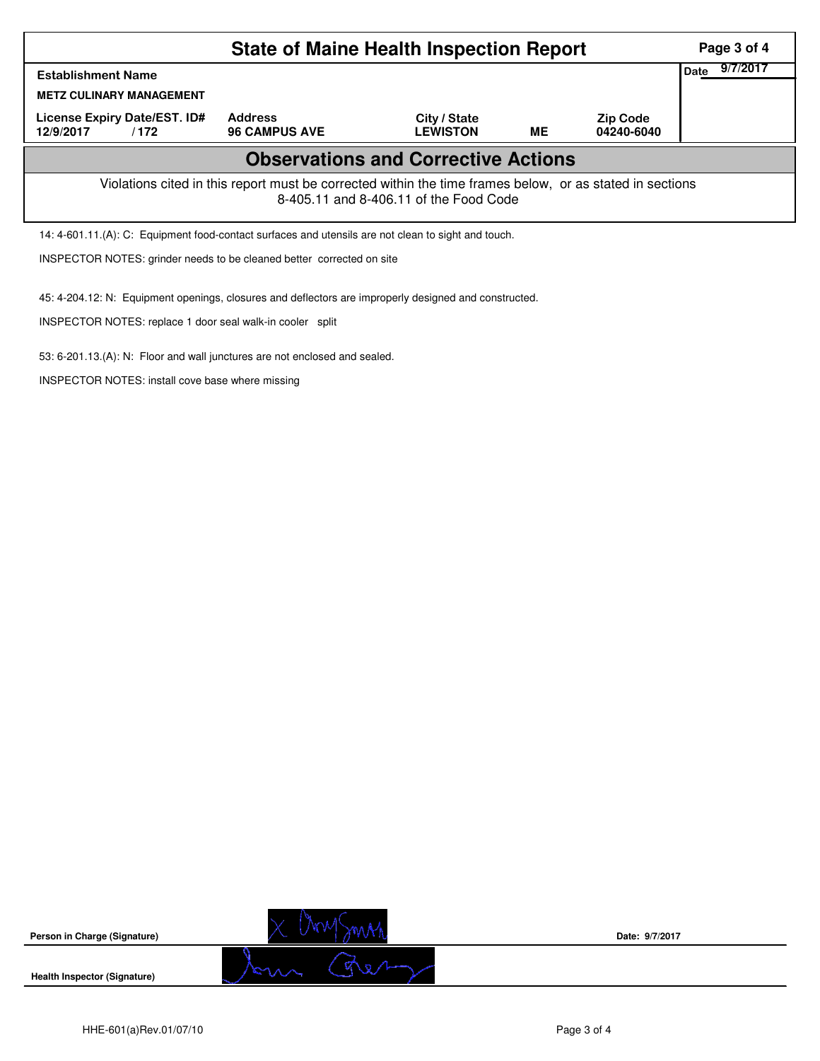|                                                                                                                                                    | Page 3 of 4                            |                                 |    |                               |                        |  |  |  |  |
|----------------------------------------------------------------------------------------------------------------------------------------------------|----------------------------------------|---------------------------------|----|-------------------------------|------------------------|--|--|--|--|
| <b>Establishment Name</b>                                                                                                                          |                                        |                                 |    |                               | 9/7/201<br><b>Date</b> |  |  |  |  |
| <b>METZ CULINARY MANAGEMENT</b>                                                                                                                    |                                        |                                 |    |                               |                        |  |  |  |  |
| License Expiry Date/EST. ID#<br>12/9/2017<br>/172                                                                                                  | <b>Address</b><br><b>96 CAMPUS AVE</b> | City / State<br><b>LEWISTON</b> | ME | <b>Zip Code</b><br>04240-6040 |                        |  |  |  |  |
| <b>Observations and Corrective Actions</b>                                                                                                         |                                        |                                 |    |                               |                        |  |  |  |  |
| Violations cited in this report must be corrected within the time frames below, or as stated in sections<br>8-405.11 and 8-406.11 of the Food Code |                                        |                                 |    |                               |                        |  |  |  |  |
| 14: 4-601.11.(A): C: Equipment food-contact surfaces and utensils are not clean to sight and touch.                                                |                                        |                                 |    |                               |                        |  |  |  |  |

INSPECTOR NOTES: grinder needs to be cleaned better corrected on site

45: 4-204.12: N: Equipment openings, closures and deflectors are improperly designed and constructed.

INSPECTOR NOTES: replace 1 door seal walk-in cooler split

53: 6-201.13.(A): N: Floor and wall junctures are not enclosed and sealed.

INSPECTOR NOTES: install cove base where missing



**Date: 9/7/2017**

HHE-601(a)Rev.01/07/10 **Page 3 of 4**